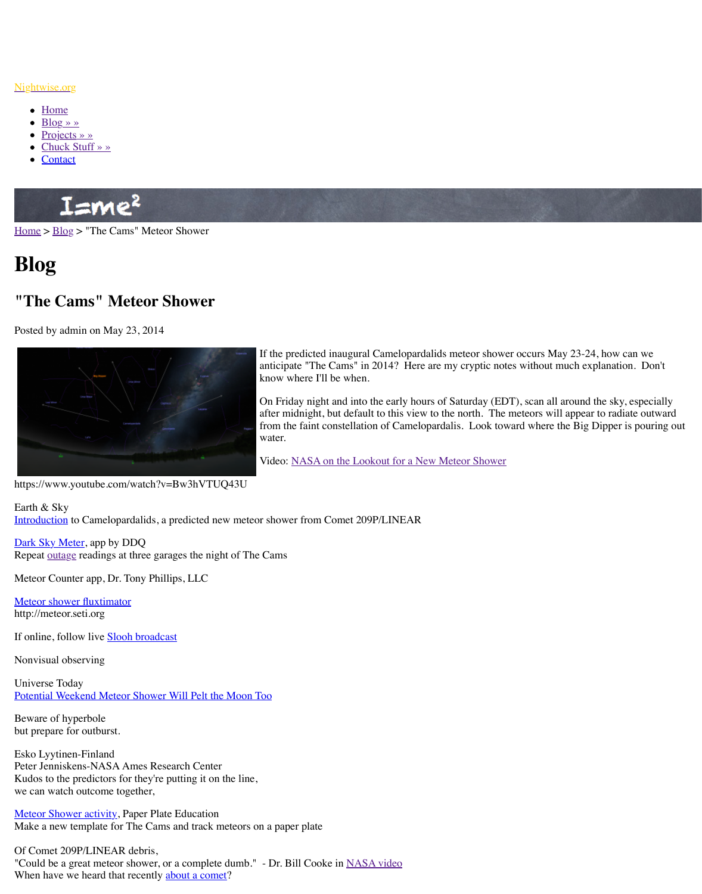

If the predicted inaugural Camelopa anticipate "The Cams" in 2014? He know where I'll be when.

On Friday night and into the early hours of Saturday engines. after midnight, but default to this view from the faint constellation of Came [water.](http://www.nightwise.org/)

Video: NASA on the Lookout for a

https:[//www.youtu](http://www.nightwise.org/projects/)be.com/watch?v=Bw3hVTUQ43U

Earth [& Sky](http://www.nightwise.org/contact/)  Introduction to Camelopardalids, a predicted new meteor shower from Comet 209P/LINEAI

Dark Sky Meter, app by DDQ Repeat outage readings at three garages the night of The Cams

[Meteo](http://www.nightwise.org/)r [Count](http://www.nightwise.org/blog/)er app, Dr. Tony Phillips, LLC

Meteor shower fluxtimator http://meteor.seti.org

If online, follow live **Slooh broadcast** 

Nonvisual observing

Universe Today Potential Weekend Meteor Shower Will Pelt the Moon Too

Beware of hyperbole but prepare for outburst.

Esko Lyytinen-Finland Peter Jenniskens-NASA Ames Research Center Kudos to the predictors for they're putting it on the line, we can watch outcome together,

Meteor Shower activity, Paper Plate Education Make a new template for The Cams and track meteors on a paper plate

Of Comet 209P/LINEAR debris,

"Could be a great meteor shower, or a complete dumb." - Dr. Bill Cooke in NASA video [When have w](http://earthsky.org/space/comet-209p-linear-meteor-shower-storm-may-2014)e heard that recently about a comet?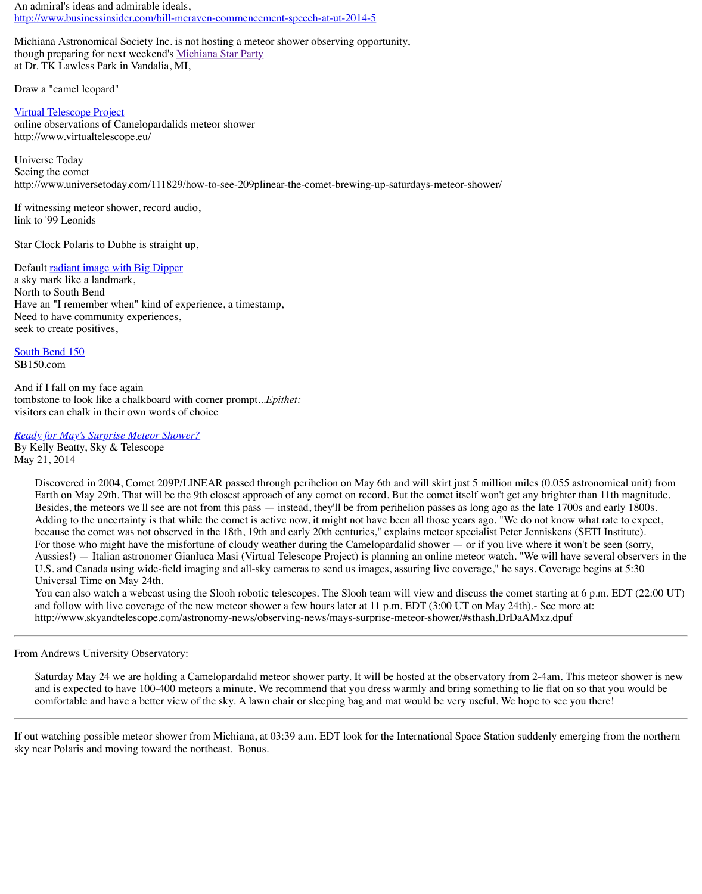South Bend 150 [SB150.com](http://www.businessinsider.com/bill-mcraven-commencement-speech-at-ut-2014-5)

And if I fall on my face again tombstone to look like a chalkboard [with corner prompt..](http://www.nightwise.org/blog/2014-michiana-star-party/).*Epithet:*  visitors can chalk in their own words of choice

*Ready for May's Surprise Meteor Shower?* By Kelly Beatty, Sky & Telescope

[May 21, 2014](http://www.virtualtelescope.eu/)

Discovered in 2004, Comet 209P/LINEAR passed through perihelion on May 6th and v Earth on May 29th. That will be the 9th closest approach of any comet on record. But the comet any brighter than 11th magnitude. Besides, the meteors we'll see are not from this pass — instead, they'll be from perihelic Adding to the uncertainty is that while the comet is active now, it might not have been a because the comet was not observed in the 18th, 19th and early 20th centuries," explain For those who might have the misfortune of cloudy weather during the Camelopardalid Aussies!) — Italian astronomer Gianluca Masi (Virtual Telescope Project) is planning a U.S. and Canada using wide-field imaging and all-sky cameras to send us images, assure Universal Time on May 24th.

You can also watch a webcast using the Slooh robotic telescopes. The Slooh team will v and follow with live coverage of the new meteor shower a few hours later at 11 p.m. ED htt[p://www.skyandtelescope.com/a](http://www.nightwise.org/files/8414/0082/1478/Camelopardalids-radiant.png)stronomy-news/observing-news/mays-surprise-meteor-

From Andrews University Observatory:

Saturday May 24 we are holding a Camelopardalid meteor shower party. It will be hoste and is expected to have 100-400 meteors a minute. We recommend that you dress warm [comfortable](http://sb150.com/) and have a better view of the sky. A lawn chair or sleeping bag and mat wo

If out watching possible meteor shower from Michiana, at  $03:39$  a.m. EDT look for the Inter sky near Polaris and moving toward the northeast. Bonus.